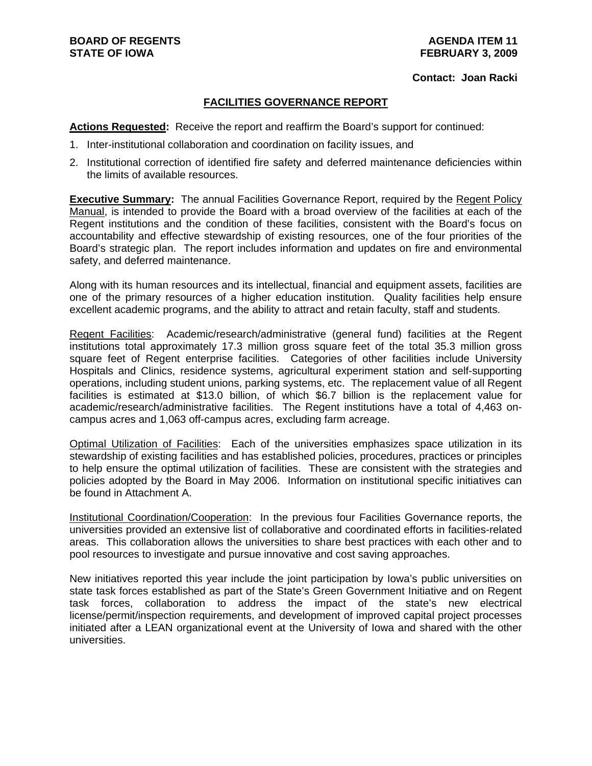#### **Contact: Joan Racki**

## **FACILITIES GOVERNANCE REPORT**

**Actions Requested:** Receive the report and reaffirm the Board's support for continued:

- 1. Inter-institutional collaboration and coordination on facility issues, and
- 2. Institutional correction of identified fire safety and deferred maintenance deficiencies within the limits of available resources.

**Executive Summary:** The annual Facilities Governance Report, required by the Regent Policy Manual, is intended to provide the Board with a broad overview of the facilities at each of the Regent institutions and the condition of these facilities, consistent with the Board's focus on accountability and effective stewardship of existing resources, one of the four priorities of the Board's strategic plan. The report includes information and updates on fire and environmental safety, and deferred maintenance.

Along with its human resources and its intellectual, financial and equipment assets, facilities are one of the primary resources of a higher education institution. Quality facilities help ensure excellent academic programs, and the ability to attract and retain faculty, staff and students.

Regent Facilities: Academic/research/administrative (general fund) facilities at the Regent institutions total approximately 17.3 million gross square feet of the total 35.3 million gross square feet of Regent enterprise facilities. Categories of other facilities include University Hospitals and Clinics, residence systems, agricultural experiment station and self-supporting operations, including student unions, parking systems, etc. The replacement value of all Regent facilities is estimated at \$13.0 billion, of which \$6.7 billion is the replacement value for academic/research/administrative facilities. The Regent institutions have a total of 4,463 oncampus acres and 1,063 off-campus acres, excluding farm acreage.

Optimal Utilization of Facilities: Each of the universities emphasizes space utilization in its stewardship of existing facilities and has established policies, procedures, practices or principles to help ensure the optimal utilization of facilities. These are consistent with the strategies and policies adopted by the Board in May 2006. Information on institutional specific initiatives can be found in Attachment A.

Institutional Coordination/Cooperation: In the previous four Facilities Governance reports, the universities provided an extensive list of collaborative and coordinated efforts in facilities-related areas. This collaboration allows the universities to share best practices with each other and to pool resources to investigate and pursue innovative and cost saving approaches.

New initiatives reported this year include the joint participation by Iowa's public universities on state task forces established as part of the State's Green Government Initiative and on Regent task forces, collaboration to address the impact of the state's new electrical license/permit/inspection requirements, and development of improved capital project processes initiated after a LEAN organizational event at the University of Iowa and shared with the other universities.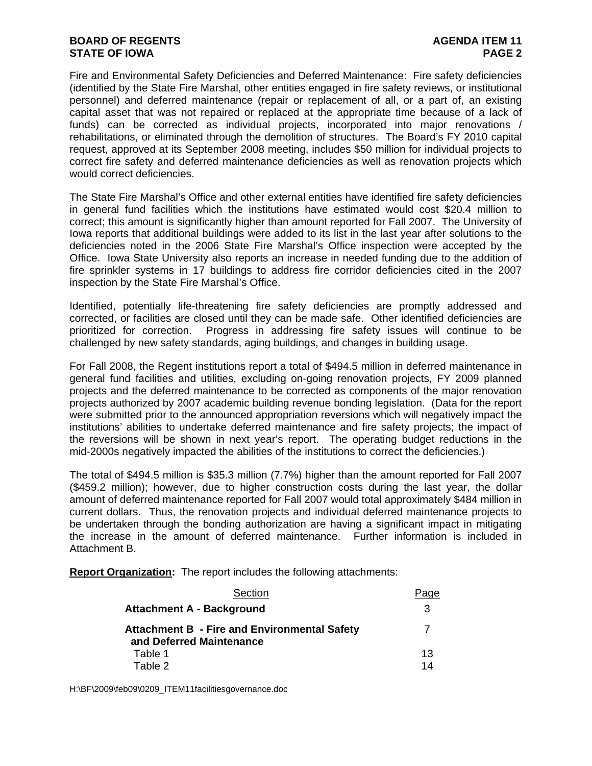Fire and Environmental Safety Deficiencies and Deferred Maintenance: Fire safety deficiencies (identified by the State Fire Marshal, other entities engaged in fire safety reviews, or institutional personnel) and deferred maintenance (repair or replacement of all, or a part of, an existing capital asset that was not repaired or replaced at the appropriate time because of a lack of funds) can be corrected as individual projects, incorporated into major renovations / rehabilitations, or eliminated through the demolition of structures. The Board's FY 2010 capital request, approved at its September 2008 meeting, includes \$50 million for individual projects to correct fire safety and deferred maintenance deficiencies as well as renovation projects which would correct deficiencies.

The State Fire Marshal's Office and other external entities have identified fire safety deficiencies in general fund facilities which the institutions have estimated would cost \$20.4 million to correct; this amount is significantly higher than amount reported for Fall 2007. The University of Iowa reports that additional buildings were added to its list in the last year after solutions to the deficiencies noted in the 2006 State Fire Marshal's Office inspection were accepted by the Office. Iowa State University also reports an increase in needed funding due to the addition of fire sprinkler systems in 17 buildings to address fire corridor deficiencies cited in the 2007 inspection by the State Fire Marshal's Office.

Identified, potentially life-threatening fire safety deficiencies are promptly addressed and corrected, or facilities are closed until they can be made safe. Other identified deficiencies are prioritized for correction. Progress in addressing fire safety issues will continue to be challenged by new safety standards, aging buildings, and changes in building usage.

For Fall 2008, the Regent institutions report a total of \$494.5 million in deferred maintenance in general fund facilities and utilities, excluding on-going renovation projects, FY 2009 planned projects and the deferred maintenance to be corrected as components of the major renovation projects authorized by 2007 academic building revenue bonding legislation. (Data for the report were submitted prior to the announced appropriation reversions which will negatively impact the institutions' abilities to undertake deferred maintenance and fire safety projects; the impact of the reversions will be shown in next year's report. The operating budget reductions in the mid-2000s negatively impacted the abilities of the institutions to correct the deficiencies.)

The total of \$494.5 million is \$35.3 million (7.7%) higher than the amount reported for Fall 2007 (\$459.2 million); however, due to higher construction costs during the last year, the dollar amount of deferred maintenance reported for Fall 2007 would total approximately \$484 million in current dollars. Thus, the renovation projects and individual deferred maintenance projects to be undertaken through the bonding authorization are having a significant impact in mitigating the increase in the amount of deferred maintenance. Further information is included in Attachment B.

**Report Organization:** The report includes the following attachments:

| Section                                                                         | Page |
|---------------------------------------------------------------------------------|------|
| <b>Attachment A - Background</b>                                                | 3    |
| <b>Attachment B - Fire and Environmental Safety</b><br>and Deferred Maintenance |      |
| Table 1                                                                         | 1.3  |
| Table 2                                                                         | 14   |

H:\BF\2009\feb09\0209\_ITEM11facilitiesgovernance.doc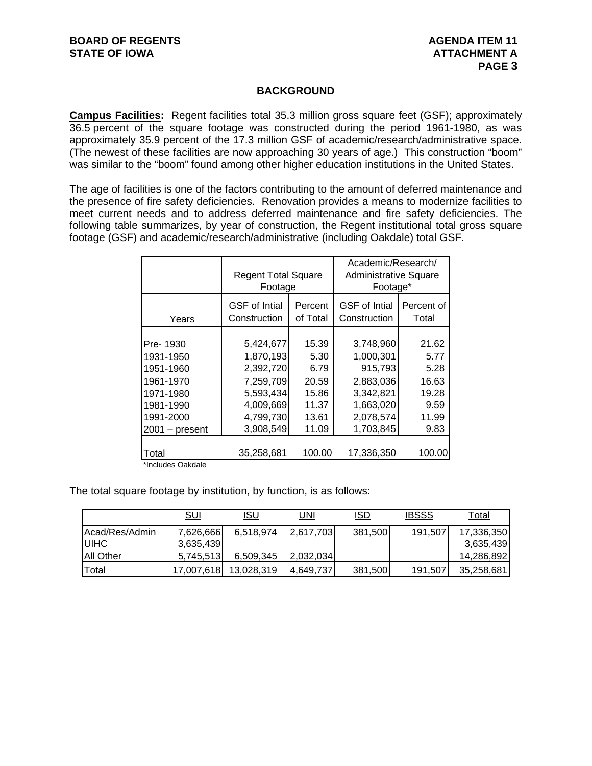## **BACKGROUND**

**Campus Facilities:** Regent facilities total 35.3 million gross square feet (GSF); approximately 36.5 percent of the square footage was constructed during the period 1961-1980, as was approximately 35.9 percent of the 17.3 million GSF of academic/research/administrative space. (The newest of these facilities are now approaching 30 years of age.) This construction "boom" was similar to the "boom" found among other higher education institutions in the United States.

The age of facilities is one of the factors contributing to the amount of deferred maintenance and the presence of fire safety deficiencies. Renovation provides a means to modernize facilities to meet current needs and to address deferred maintenance and fire safety deficiencies. The following table summarizes, by year of construction, the Regent institutional total gross square footage (GSF) and academic/research/administrative (including Oakdale) total GSF.

|                  | <b>Regent Total Square</b><br>Footage |          | Academic/Research/<br>Administrative Square<br>Footage* |            |
|------------------|---------------------------------------|----------|---------------------------------------------------------|------------|
| Years            | <b>GSF</b> of Intial                  | Percent  | <b>GSF</b> of Intial                                    | Percent of |
|                  | Construction                          | of Total | Construction                                            | Total      |
| Pre-1930         | 5,424,677                             | 15.39    | 3,748,960                                               | 21.62      |
| 1931-1950        | 1,870,193                             | 5.30     | 1,000,301                                               | 5.77       |
| 1951-1960        | 2,392,720                             | 6.79     | 915,793                                                 | 5.28       |
| 1961-1970        | 7,259,709                             | 20.59    | 2,883,036                                               | 16.63      |
| 1971-1980        | 5,593,434                             | 15.86    | 3,342,821                                               | 19.28      |
| 1981-1990        | 4,009,669                             | 11.37    | 1,663,020                                               | 9.59       |
| 1991-2000        | 4,799,730                             | 13.61    | 2,078,574                                               | 11.99      |
| $2001 - present$ | 3,908,549                             | 11.09    | 1,703,845                                               | 9.83       |
| Total            | 35,258,681                            | 100.00   | 17,336,350                                              | 100.00     |

\*Includes Oakdale

The total square footage by institution, by function, is as follows:

|                | <u>SUI</u> | <u>ISU</u> | UNI       | ISD     | <b>IBSSS</b> | Total      |
|----------------|------------|------------|-----------|---------|--------------|------------|
| Acad/Res/Admin | 7,626,666  | 6,518,974  | 2,617,703 | 381,500 | 191,507      | 17,336,350 |
| <b>UIHC</b>    | 3,635,439  |            |           |         |              | 3,635,439  |
| All Other      | 5,745,513  | 6,509,345  | 2,032,034 |         |              | 14,286,892 |
| Total          | 17,007,618 | 13,028,319 | 4,649,737 | 381,500 | 191,507      | 35,258,681 |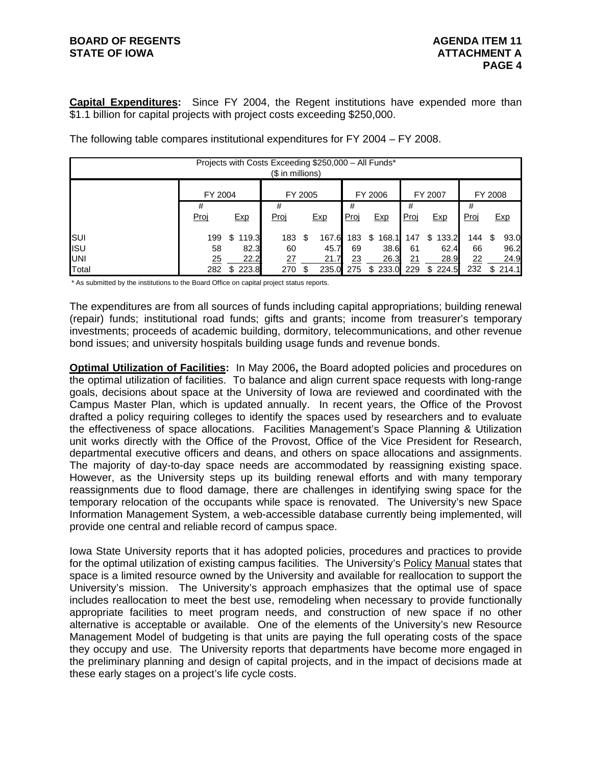# **BOARD OF REGENTS AGENUS AGENDA ITEM 11 STATE OF IOWA ATTACHMENT A**

**Capital Expenditures:** Since FY 2004, the Regent institutions have expended more than \$1.1 billion for capital projects with project costs exceeding \$250,000.

|            |           |             | Projects with Costs Exceeding \$250,000 - All Funds*<br>(\$ in millions) |         |       |                  |             |           |             |           |         |            |
|------------|-----------|-------------|--------------------------------------------------------------------------|---------|-------|------------------|-------------|-----------|-------------|-----------|---------|------------|
|            | FY 2004   |             |                                                                          | FY 2005 |       |                  | FY 2006     |           | FY 2007     |           | FY 2008 |            |
|            | #<br>Proj | Exp         | #<br><u>Proj</u>                                                         |         | Exp   | #<br><u>Proj</u> | Exp         | #<br>Proj | <b>Exp</b>  | #<br>Proj |         | <u>Exp</u> |
| SUI        | 199       | \$<br>119.3 | 183                                                                      | S       | 167.6 | 183              | 168.1<br>\$ | 147       | \$<br>133.2 | 144       |         | 93.0       |
| <b>ISU</b> | 58        | 82.3        | 60                                                                       |         | 45.7  | 69               | 38.6        | 61        | 62.4        | 66        |         | 96.2       |
| <b>UNI</b> | 25        | 22.2        | 27                                                                       |         | 21.7  | 23               | 26.3        | 21        | 28.9        | 22        |         | 24.9       |
| Total      | 282       | \$223.8     | 270                                                                      | \$      | 235.0 | 275              | \$233.0     | 229       | 224.5<br>\$ | 232       |         | \$214.1    |

The following table compares institutional expenditures for FY 2004 – FY 2008.

\* As submitted by the institutions to the Board Office on capital project status reports.

The expenditures are from all sources of funds including capital appropriations; building renewal (repair) funds; institutional road funds; gifts and grants; income from treasurer's temporary investments; proceeds of academic building, dormitory, telecommunications, and other revenue bond issues; and university hospitals building usage funds and revenue bonds.

**Optimal Utilization of Facilities:** In May 2006**,** the Board adopted policies and procedures on the optimal utilization of facilities. To balance and align current space requests with long-range goals, decisions about space at the University of Iowa are reviewed and coordinated with the Campus Master Plan, which is updated annually. In recent years, the Office of the Provost drafted a policy requiring colleges to identify the spaces used by researchers and to evaluate the effectiveness of space allocations. Facilities Management's Space Planning & Utilization unit works directly with the Office of the Provost, Office of the Vice President for Research, departmental executive officers and deans, and others on space allocations and assignments. The majority of day-to-day space needs are accommodated by reassigning existing space. However, as the University steps up its building renewal efforts and with many temporary reassignments due to flood damage, there are challenges in identifying swing space for the temporary relocation of the occupants while space is renovated. The University's new Space Information Management System, a web-accessible database currently being implemented, will provide one central and reliable record of campus space.

Iowa State University reports that it has adopted policies, procedures and practices to provide for the optimal utilization of existing campus facilities. The University's Policy Manual states that space is a limited resource owned by the University and available for reallocation to support the University's mission. The University's approach emphasizes that the optimal use of space includes reallocation to meet the best use, remodeling when necessary to provide functionally appropriate facilities to meet program needs, and construction of new space if no other alternative is acceptable or available. One of the elements of the University's new Resource Management Model of budgeting is that units are paying the full operating costs of the space they occupy and use. The University reports that departments have become more engaged in the preliminary planning and design of capital projects, and in the impact of decisions made at these early stages on a project's life cycle costs.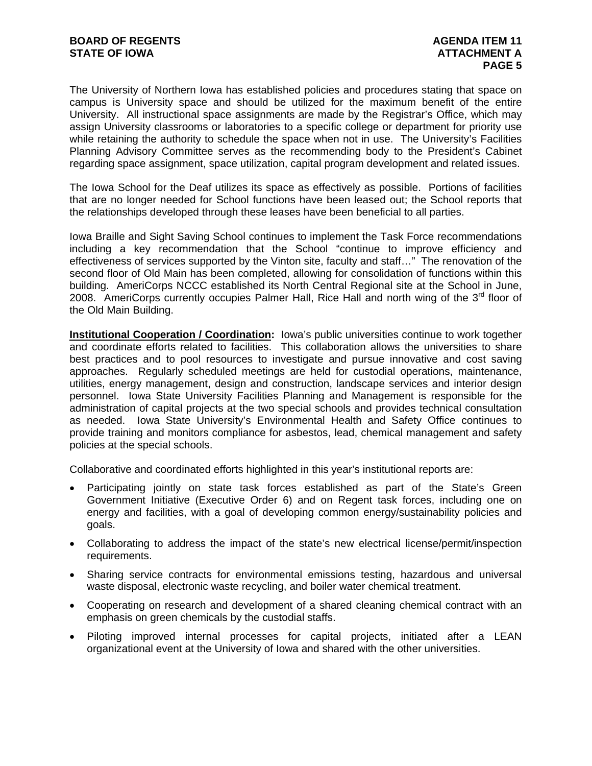The University of Northern Iowa has established policies and procedures stating that space on campus is University space and should be utilized for the maximum benefit of the entire University. All instructional space assignments are made by the Registrar's Office, which may assign University classrooms or laboratories to a specific college or department for priority use while retaining the authority to schedule the space when not in use. The University's Facilities Planning Advisory Committee serves as the recommending body to the President's Cabinet regarding space assignment, space utilization, capital program development and related issues.

The Iowa School for the Deaf utilizes its space as effectively as possible. Portions of facilities that are no longer needed for School functions have been leased out; the School reports that the relationships developed through these leases have been beneficial to all parties.

Iowa Braille and Sight Saving School continues to implement the Task Force recommendations including a key recommendation that the School "continue to improve efficiency and effectiveness of services supported by the Vinton site, faculty and staff…" The renovation of the second floor of Old Main has been completed, allowing for consolidation of functions within this building. AmeriCorps NCCC established its North Central Regional site at the School in June, 2008. AmeriCorps currently occupies Palmer Hall, Rice Hall and north wing of the  $3<sup>rd</sup>$  floor of the Old Main Building.

**Institutional Cooperation / Coordination:** Iowa's public universities continue to work together and coordinate efforts related to facilities. This collaboration allows the universities to share best practices and to pool resources to investigate and pursue innovative and cost saving approaches. Regularly scheduled meetings are held for custodial operations, maintenance, utilities, energy management, design and construction, landscape services and interior design personnel. Iowa State University Facilities Planning and Management is responsible for the administration of capital projects at the two special schools and provides technical consultation as needed. Iowa State University's Environmental Health and Safety Office continues to provide training and monitors compliance for asbestos, lead, chemical management and safety policies at the special schools.

Collaborative and coordinated efforts highlighted in this year's institutional reports are:

- Participating jointly on state task forces established as part of the State's Green Government Initiative (Executive Order 6) and on Regent task forces, including one on energy and facilities, with a goal of developing common energy/sustainability policies and goals.
- Collaborating to address the impact of the state's new electrical license/permit/inspection requirements.
- Sharing service contracts for environmental emissions testing, hazardous and universal waste disposal, electronic waste recycling, and boiler water chemical treatment.
- Cooperating on research and development of a shared cleaning chemical contract with an emphasis on green chemicals by the custodial staffs.
- Piloting improved internal processes for capital projects, initiated after a LEAN organizational event at the University of Iowa and shared with the other universities.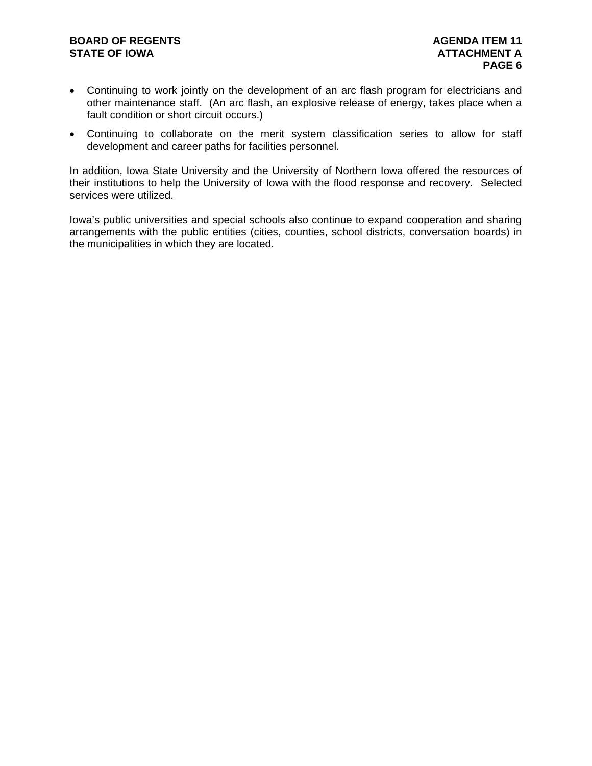# **BOARD OF REGENTS AGENUS AGENDA ITEM 11 STATE OF IOWA ATTACHMENT A**

- Continuing to work jointly on the development of an arc flash program for electricians and other maintenance staff. (An arc flash, an explosive release of energy, takes place when a fault condition or short circuit occurs.)
- Continuing to collaborate on the merit system classification series to allow for staff development and career paths for facilities personnel.

In addition, Iowa State University and the University of Northern Iowa offered the resources of their institutions to help the University of Iowa with the flood response and recovery. Selected services were utilized.

Iowa's public universities and special schools also continue to expand cooperation and sharing arrangements with the public entities (cities, counties, school districts, conversation boards) in the municipalities in which they are located.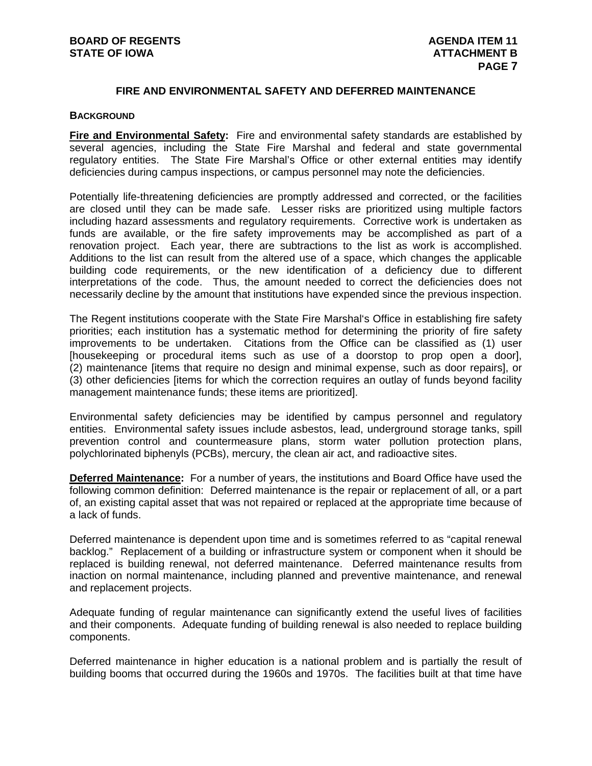# **FIRE AND ENVIRONMENTAL SAFETY AND DEFERRED MAINTENANCE**

#### **BACKGROUND**

**Fire and Environmental Safety:** Fire and environmental safety standards are established by several agencies, including the State Fire Marshal and federal and state governmental regulatory entities. The State Fire Marshal's Office or other external entities may identify deficiencies during campus inspections, or campus personnel may note the deficiencies.

Potentially life-threatening deficiencies are promptly addressed and corrected, or the facilities are closed until they can be made safe. Lesser risks are prioritized using multiple factors including hazard assessments and regulatory requirements. Corrective work is undertaken as funds are available, or the fire safety improvements may be accomplished as part of a renovation project. Each year, there are subtractions to the list as work is accomplished. Additions to the list can result from the altered use of a space, which changes the applicable building code requirements, or the new identification of a deficiency due to different interpretations of the code. Thus, the amount needed to correct the deficiencies does not necessarily decline by the amount that institutions have expended since the previous inspection.

The Regent institutions cooperate with the State Fire Marshal's Office in establishing fire safety priorities; each institution has a systematic method for determining the priority of fire safety improvements to be undertaken. Citations from the Office can be classified as (1) user [housekeeping or procedural items such as use of a doorstop to prop open a door], (2) maintenance [items that require no design and minimal expense, such as door repairs], or (3) other deficiencies [items for which the correction requires an outlay of funds beyond facility management maintenance funds; these items are prioritized].

Environmental safety deficiencies may be identified by campus personnel and regulatory entities. Environmental safety issues include asbestos, lead, underground storage tanks, spill prevention control and countermeasure plans, storm water pollution protection plans, polychlorinated biphenyls (PCBs), mercury, the clean air act, and radioactive sites.

**Deferred Maintenance:** For a number of years, the institutions and Board Office have used the following common definition: Deferred maintenance is the repair or replacement of all, or a part of, an existing capital asset that was not repaired or replaced at the appropriate time because of a lack of funds.

Deferred maintenance is dependent upon time and is sometimes referred to as "capital renewal backlog." Replacement of a building or infrastructure system or component when it should be replaced is building renewal, not deferred maintenance. Deferred maintenance results from inaction on normal maintenance, including planned and preventive maintenance, and renewal and replacement projects.

Adequate funding of regular maintenance can significantly extend the useful lives of facilities and their components. Adequate funding of building renewal is also needed to replace building components.

Deferred maintenance in higher education is a national problem and is partially the result of building booms that occurred during the 1960s and 1970s. The facilities built at that time have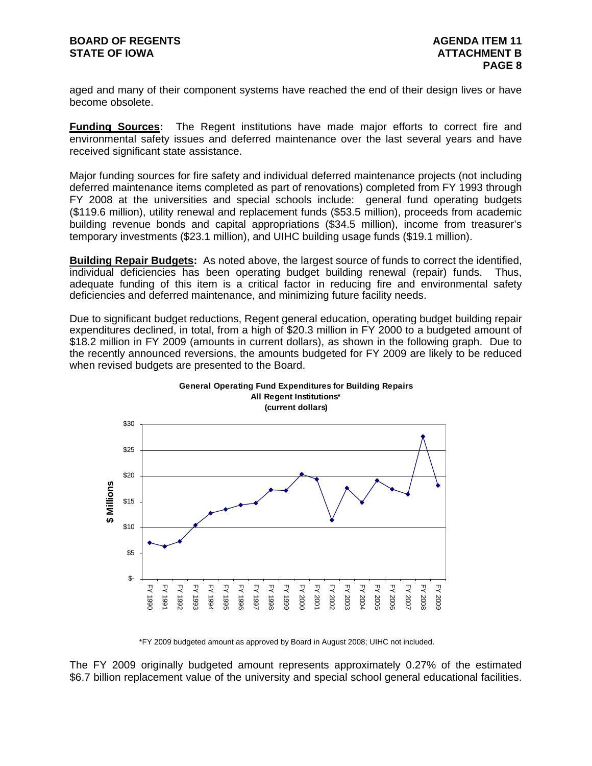aged and many of their component systems have reached the end of their design lives or have become obsolete.

**Funding Sources:** The Regent institutions have made major efforts to correct fire and environmental safety issues and deferred maintenance over the last several years and have received significant state assistance.

Major funding sources for fire safety and individual deferred maintenance projects (not including deferred maintenance items completed as part of renovations) completed from FY 1993 through FY 2008 at the universities and special schools include: general fund operating budgets (\$119.6 million), utility renewal and replacement funds (\$53.5 million), proceeds from academic building revenue bonds and capital appropriations (\$34.5 million), income from treasurer's temporary investments (\$23.1 million), and UIHC building usage funds (\$19.1 million).

**Building Repair Budgets:** As noted above, the largest source of funds to correct the identified, individual deficiencies has been operating budget building renewal (repair) funds. Thus, adequate funding of this item is a critical factor in reducing fire and environmental safety deficiencies and deferred maintenance, and minimizing future facility needs.

Due to significant budget reductions, Regent general education, operating budget building repair expenditures declined, in total, from a high of \$20.3 million in FY 2000 to a budgeted amount of \$18.2 million in FY 2009 (amounts in current dollars), as shown in the following graph. Due to the recently announced reversions, the amounts budgeted for FY 2009 are likely to be reduced when revised budgets are presented to the Board.



**General Operating Fund Expenditures for Building Repairs All Regent Institutions\***

\*FY 2009 budgeted amount as approved by Board in August 2008; UIHC not included.

The FY 2009 originally budgeted amount represents approximately 0.27% of the estimated \$6.7 billion replacement value of the university and special school general educational facilities.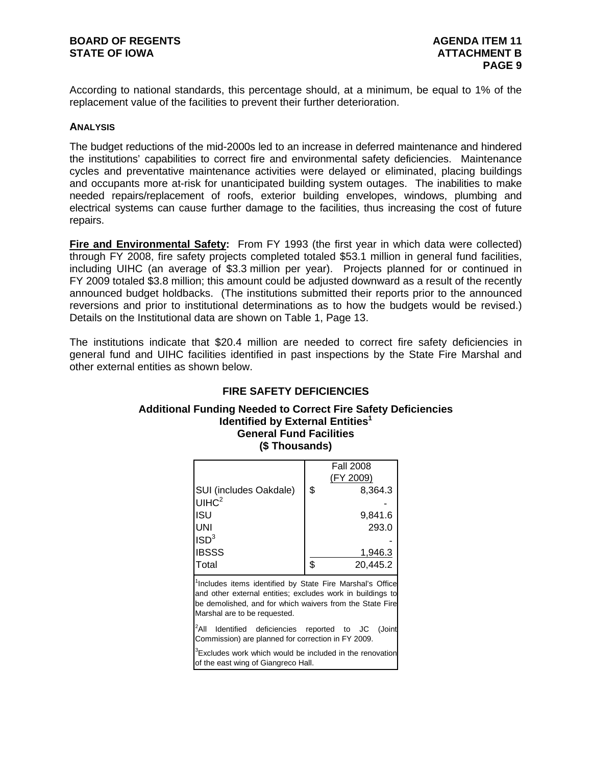According to national standards, this percentage should, at a minimum, be equal to 1% of the replacement value of the facilities to prevent their further deterioration.

#### **ANALYSIS**

The budget reductions of the mid-2000s led to an increase in deferred maintenance and hindered the institutions' capabilities to correct fire and environmental safety deficiencies. Maintenance cycles and preventative maintenance activities were delayed or eliminated, placing buildings and occupants more at-risk for unanticipated building system outages. The inabilities to make needed repairs/replacement of roofs, exterior building envelopes, windows, plumbing and electrical systems can cause further damage to the facilities, thus increasing the cost of future repairs.

**Fire and Environmental Safety:** From FY 1993 (the first year in which data were collected) through FY 2008, fire safety projects completed totaled \$53.1 million in general fund facilities, including UIHC (an average of \$3.3 million per year). Projects planned for or continued in FY 2009 totaled \$3.8 million; this amount could be adjusted downward as a result of the recently announced budget holdbacks. (The institutions submitted their reports prior to the announced reversions and prior to institutional determinations as to how the budgets would be revised.) Details on the Institutional data are shown on Table 1, Page 13.

The institutions indicate that \$20.4 million are needed to correct fire safety deficiencies in general fund and UIHC facilities identified in past inspections by the State Fire Marshal and other external entities as shown below.

# **FIRE SAFETY DEFICIENCIES**

### **Additional Funding Needed to Correct Fire Safety Deficiencies Identified by External Entities<sup>1</sup> General Fund Facilities (\$ Thousands)**

|                        | <b>Fall 2008</b> |
|------------------------|------------------|
|                        | (FY 2009)        |
| SUI (includes Oakdale) | \$<br>8,364.3    |
| UHCl <sup>2</sup>      |                  |
| ISU                    | 9,841.6          |
| UNI                    | 293.0            |
| ISD <sup>3</sup>       |                  |
| <b>IBSSS</b>           | 1,946.3          |
| <b>Total</b>           | \$<br>20,445.2   |

<sup>1</sup>Includes items identified by State Fire Marshal's Office and other external entities; excludes work in buildings to be demolished, and for which waivers from the State Fire Marshal are to be requested.

<sup>2</sup>All Identified deficiencies reported to JC (Joint Commission) are planned for correction in FY 2009.

<sup>3</sup>Excludes work which would be included in the renovation of the east wing of Giangreco Hall.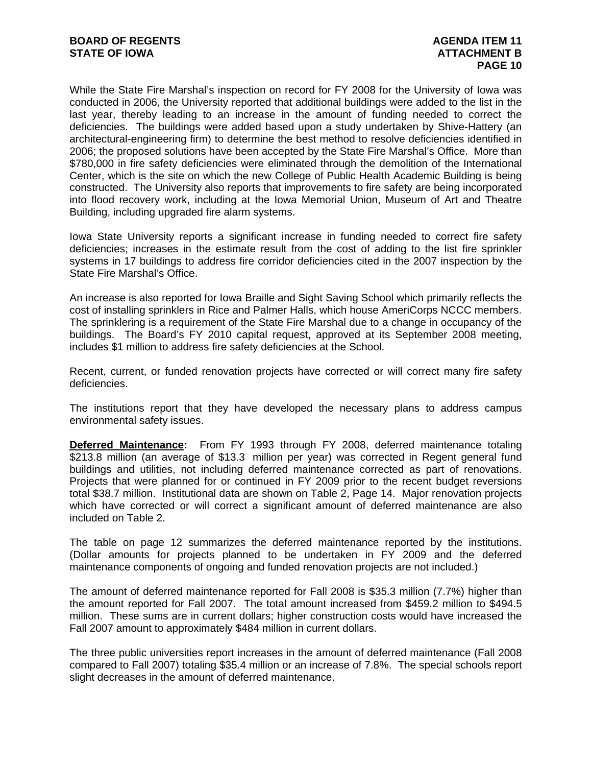While the State Fire Marshal's inspection on record for FY 2008 for the University of Iowa was conducted in 2006, the University reported that additional buildings were added to the list in the last year, thereby leading to an increase in the amount of funding needed to correct the deficiencies. The buildings were added based upon a study undertaken by Shive-Hattery (an architectural-engineering firm) to determine the best method to resolve deficiencies identified in 2006; the proposed solutions have been accepted by the State Fire Marshal's Office. More than \$780,000 in fire safety deficiencies were eliminated through the demolition of the International Center, which is the site on which the new College of Public Health Academic Building is being constructed. The University also reports that improvements to fire safety are being incorporated into flood recovery work, including at the Iowa Memorial Union, Museum of Art and Theatre Building, including upgraded fire alarm systems.

Iowa State University reports a significant increase in funding needed to correct fire safety deficiencies; increases in the estimate result from the cost of adding to the list fire sprinkler systems in 17 buildings to address fire corridor deficiencies cited in the 2007 inspection by the State Fire Marshal's Office.

An increase is also reported for Iowa Braille and Sight Saving School which primarily reflects the cost of installing sprinklers in Rice and Palmer Halls, which house AmeriCorps NCCC members. The sprinklering is a requirement of the State Fire Marshal due to a change in occupancy of the buildings. The Board's FY 2010 capital request, approved at its September 2008 meeting, includes \$1 million to address fire safety deficiencies at the School.

Recent, current, or funded renovation projects have corrected or will correct many fire safety deficiencies.

The institutions report that they have developed the necessary plans to address campus environmental safety issues.

**Deferred Maintenance:** From FY 1993 through FY 2008, deferred maintenance totaling \$213.8 million (an average of \$13.3 million per year) was corrected in Regent general fund buildings and utilities, not including deferred maintenance corrected as part of renovations. Projects that were planned for or continued in FY 2009 prior to the recent budget reversions total \$38.7 million. Institutional data are shown on Table 2, Page 14. Major renovation projects which have corrected or will correct a significant amount of deferred maintenance are also included on Table 2.

The table on page 12 summarizes the deferred maintenance reported by the institutions. (Dollar amounts for projects planned to be undertaken in FY 2009 and the deferred maintenance components of ongoing and funded renovation projects are not included.)

The amount of deferred maintenance reported for Fall 2008 is \$35.3 million (7.7%) higher than the amount reported for Fall 2007. The total amount increased from \$459.2 million to \$494.5 million. These sums are in current dollars; higher construction costs would have increased the Fall 2007 amount to approximately \$484 million in current dollars.

The three public universities report increases in the amount of deferred maintenance (Fall 2008 compared to Fall 2007) totaling \$35.4 million or an increase of 7.8%. The special schools report slight decreases in the amount of deferred maintenance.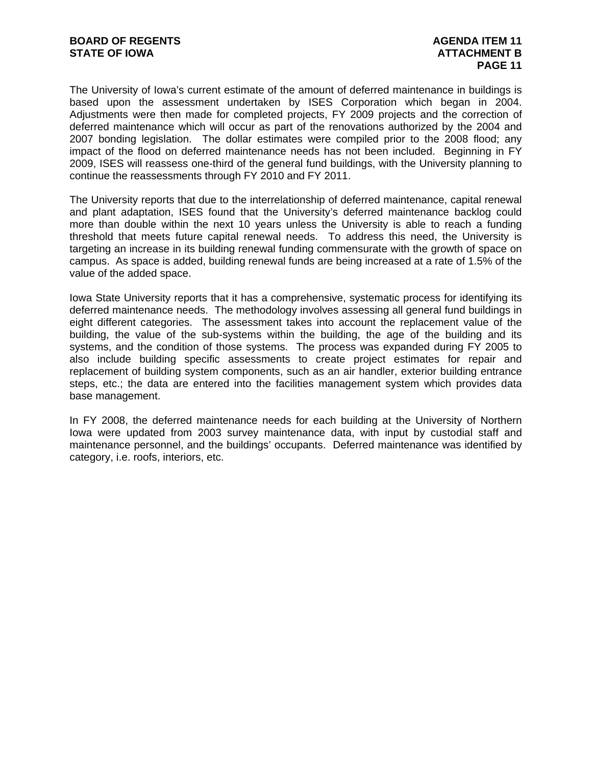The University of Iowa's current estimate of the amount of deferred maintenance in buildings is based upon the assessment undertaken by ISES Corporation which began in 2004. Adjustments were then made for completed projects, FY 2009 projects and the correction of deferred maintenance which will occur as part of the renovations authorized by the 2004 and 2007 bonding legislation. The dollar estimates were compiled prior to the 2008 flood; any impact of the flood on deferred maintenance needs has not been included. Beginning in FY 2009, ISES will reassess one-third of the general fund buildings, with the University planning to continue the reassessments through FY 2010 and FY 2011.

The University reports that due to the interrelationship of deferred maintenance, capital renewal and plant adaptation, ISES found that the University's deferred maintenance backlog could more than double within the next 10 years unless the University is able to reach a funding threshold that meets future capital renewal needs. To address this need, the University is targeting an increase in its building renewal funding commensurate with the growth of space on campus. As space is added, building renewal funds are being increased at a rate of 1.5% of the value of the added space.

Iowa State University reports that it has a comprehensive, systematic process for identifying its deferred maintenance needs. The methodology involves assessing all general fund buildings in eight different categories. The assessment takes into account the replacement value of the building, the value of the sub-systems within the building, the age of the building and its systems, and the condition of those systems. The process was expanded during FY 2005 to also include building specific assessments to create project estimates for repair and replacement of building system components, such as an air handler, exterior building entrance steps, etc.; the data are entered into the facilities management system which provides data base management.

In FY 2008, the deferred maintenance needs for each building at the University of Northern Iowa were updated from 2003 survey maintenance data, with input by custodial staff and maintenance personnel, and the buildings' occupants. Deferred maintenance was identified by category, i.e. roofs, interiors, etc.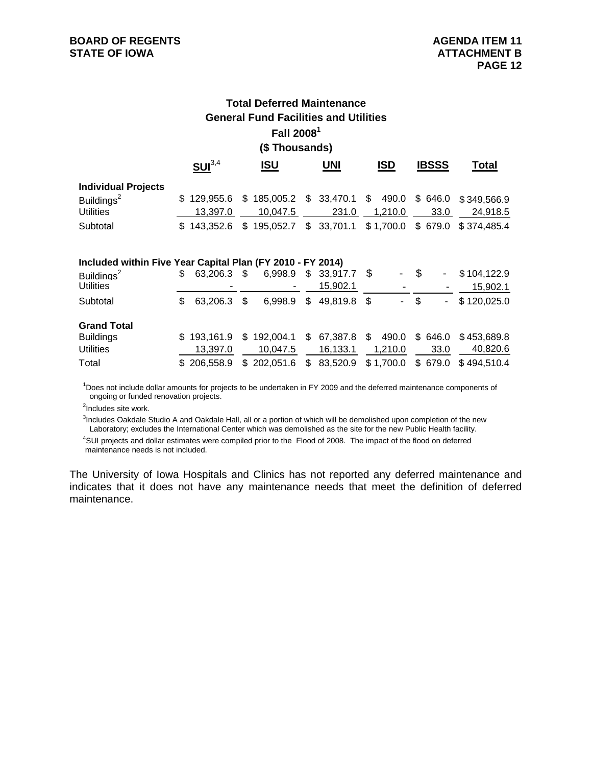# **Total Deferred Maintenance General Fund Facilities and Utilities Fall 20081 (\$ Thousands)**

|                                                            | SUI <sup>3,4</sup> | <u>ISU</u>                                                       | <b>UNI</b> | <b>ISD</b> | <b>IBSSS</b> | Total    |
|------------------------------------------------------------|--------------------|------------------------------------------------------------------|------------|------------|--------------|----------|
| <b>Individual Projects</b>                                 |                    |                                                                  |            |            |              |          |
| Buildings <sup>2</sup>                                     |                    | \$129,955.6 \$185,005.2 \$33,470.1 \$490.0 \$646.0 \$349,566.9   |            |            |              |          |
| <b>Utilities</b>                                           | 13.397.0           | 10.047.5                                                         | 231.0      | 1,210.0    | 33.0         | 24.918.5 |
| Subtotal                                                   |                    | \$143,352.6 \$195,052.7 \$33,701.1 \$1,700.0 \$679.0 \$374,485.4 |            |            |              |          |
|                                                            |                    |                                                                  |            |            |              |          |
| Included within Five Year Capital Plan (FY 2010 - FY 2014) |                    |                                                                  |            |            |              |          |

| $\overline{a}$ included within Five Teal Capital Fight (Fig. 2010 - Fig. 2014) |     |             |               |                        |                |      |                          |                     |
|--------------------------------------------------------------------------------|-----|-------------|---------------|------------------------|----------------|------|--------------------------|---------------------|
| Buildings <sup>2</sup>                                                         | S.  | 63.206.3 \$ | 6,998.9       | $$33,917.7$ \;         | $\blacksquare$ | \$.  | $\overline{\phantom{a}}$ | \$104,122.9         |
| <b>Utilities</b>                                                               |     | ۰           |               | 15,902.1               |                |      |                          | 15,902.1            |
| Subtotal                                                                       | \$. | 63.206.3    | \$<br>6,998.9 | \$<br>49,819.8 \$      |                | - \$ | $\overline{\phantom{a}}$ | \$120,025.0         |
| <b>Grand Total</b>                                                             |     |             |               |                        |                |      |                          |                     |
| <b>Buildings</b>                                                               |     | \$193.161.9 | \$192,004.1   | \$67,387.8             | 490.0          |      | \$646.0                  | \$453.689.8         |
| <b>Utilities</b>                                                               |     | 13.397.0    | 10,047.5      | 16.133.1               | 1,210.0        |      | 33.0                     | 40.820.6            |
| Total                                                                          |     | \$206,558.9 | \$202,051.6   | $$83,520.9$ $$1,700.0$ |                |      |                          | \$679.0 \$494,510.4 |
|                                                                                |     |             |               |                        |                |      |                          |                     |

 ongoing or funded renovation projects. <sup>1</sup>Does not include dollar amounts for projects to be undertaken in FY 2009 and the deferred maintenance components of

<sup>2</sup>Includes site work.

<sup>3</sup>Includes Oakdale Studio A and Oakdale Hall, all or a portion of which will be demolished upon completion of the new Laboratory; excludes the International Center which was demolished as the site for the new Public Health facility.

 4 SUI projects and dollar estimates were compiled prior to the Flood of 2008. The impact of the flood on deferred maintenance needs is not included.

The University of Iowa Hospitals and Clinics has not reported any deferred maintenance and indicates that it does not have any maintenance needs that meet the definition of deferred maintenance.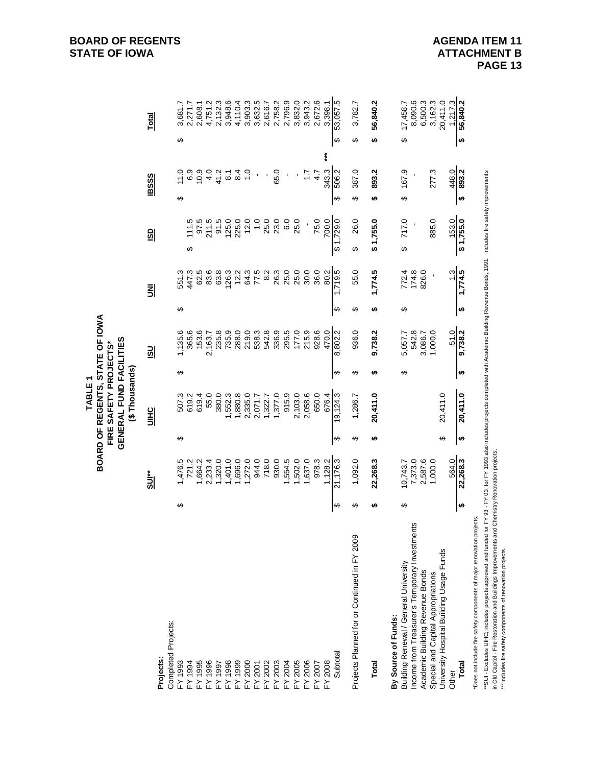|                                                                                                                                                                                                                                                                                                                                                                                                                                                                                                                                                            |        |                                                                |                | GENERAL FUND FACILITIES<br>(\$Thousands) |        |                                                           |        |                                           |                                                                                                                                                                                               |                                             |                                                                                                             |
|------------------------------------------------------------------------------------------------------------------------------------------------------------------------------------------------------------------------------------------------------------------------------------------------------------------------------------------------------------------------------------------------------------------------------------------------------------------------------------------------------------------------------------------------------------|--------|----------------------------------------------------------------|----------------|------------------------------------------|--------|-----------------------------------------------------------|--------|-------------------------------------------|-----------------------------------------------------------------------------------------------------------------------------------------------------------------------------------------------|---------------------------------------------|-------------------------------------------------------------------------------------------------------------|
| <b>Projects:</b>                                                                                                                                                                                                                                                                                                                                                                                                                                                                                                                                           |        | <u>sur</u>                                                     |                | <b>UIHC</b>                              |        | $\overline{\mathbf{S}}$                                   |        | 뢰                                         | $\frac{1}{2}$                                                                                                                                                                                 | <b>IBSSS</b>                                | <b>Total</b>                                                                                                |
| Completed Projects:                                                                                                                                                                                                                                                                                                                                                                                                                                                                                                                                        |        |                                                                |                |                                          |        |                                                           |        |                                           |                                                                                                                                                                                               |                                             |                                                                                                             |
| FY 1993                                                                                                                                                                                                                                                                                                                                                                                                                                                                                                                                                    | ↮      | 1,476.5                                                        | ↮              | 507.3                                    | ↔      | 1,135.6                                                   | ↮      | 551.3                                     |                                                                                                                                                                                               | 11.0<br>↮                                   | 3,681.7<br>↮                                                                                                |
| FY 1994                                                                                                                                                                                                                                                                                                                                                                                                                                                                                                                                                    |        | 721.2                                                          |                | 619.2                                    |        | 365.6                                                     |        | 447.3                                     | 111.5<br>↔                                                                                                                                                                                    | 6.9                                         | 2,271.7                                                                                                     |
| FY 1995                                                                                                                                                                                                                                                                                                                                                                                                                                                                                                                                                    |        | 1,664.2                                                        |                | 619.4                                    |        | 153.6                                                     |        | 62.5                                      | 97.5                                                                                                                                                                                          | 10.9                                        | 2,608.1                                                                                                     |
| FY 1996                                                                                                                                                                                                                                                                                                                                                                                                                                                                                                                                                    |        | 2,233.4                                                        |                | 55.0                                     |        | 2,163.7                                                   |        | 83.6                                      | 211.5                                                                                                                                                                                         |                                             | 4,751.2                                                                                                     |
| FY 1997                                                                                                                                                                                                                                                                                                                                                                                                                                                                                                                                                    |        | 1,320.0                                                        |                | 380.0                                    |        | 235.8                                                     |        | 63.8                                      | 91.5                                                                                                                                                                                          | $47$<br>$47$<br>$47$                        | 2,132.3                                                                                                     |
| FY 1998                                                                                                                                                                                                                                                                                                                                                                                                                                                                                                                                                    |        | 1,401.0                                                        |                | 1,552.3                                  |        | 735.9                                                     |        | 126.3                                     | 125.0                                                                                                                                                                                         | $\overline{\circ}$                          | 3,948.6                                                                                                     |
| FY 1999                                                                                                                                                                                                                                                                                                                                                                                                                                                                                                                                                    |        | 1,696.0                                                        |                | 1,880.8                                  |        | 288.0                                                     |        | 12.2                                      | 225.0                                                                                                                                                                                         | 84                                          | 4,110.4                                                                                                     |
| FY 2000<br>FY 2001                                                                                                                                                                                                                                                                                                                                                                                                                                                                                                                                         |        | 1,272.0                                                        |                | 2,335.0                                  |        | 219.0                                                     |        | 64.3                                      | 12.0                                                                                                                                                                                          | $\ddot{ }$ .                                | 3,903.3                                                                                                     |
|                                                                                                                                                                                                                                                                                                                                                                                                                                                                                                                                                            |        | 944.0                                                          |                | 2,071.7                                  |        | 538.3                                                     |        | 77.5                                      | $\overline{1}$ .0                                                                                                                                                                             | $\blacksquare$                              | 3,632.5                                                                                                     |
| FY 2002                                                                                                                                                                                                                                                                                                                                                                                                                                                                                                                                                    |        | 718.0                                                          |                | 1,322.7                                  |        | 542.8                                                     |        | 8.2                                       | 25.0                                                                                                                                                                                          |                                             | 2,616.7                                                                                                     |
| FY 2003                                                                                                                                                                                                                                                                                                                                                                                                                                                                                                                                                    |        | 930.0                                                          |                | 1,377.0                                  |        | 336.9                                                     |        | 26.3                                      | 23.0                                                                                                                                                                                          | 65.0                                        | 2,758.2                                                                                                     |
| FY 2004                                                                                                                                                                                                                                                                                                                                                                                                                                                                                                                                                    |        | 1,554.5                                                        |                | 915.9                                    |        | 295.5                                                     |        | 25.0                                      | 6.0                                                                                                                                                                                           | $\blacksquare$                              | 2,796.9                                                                                                     |
| FY 2005                                                                                                                                                                                                                                                                                                                                                                                                                                                                                                                                                    |        | 1,502.0                                                        |                | 2,103.0                                  |        | 177.0                                                     |        | 25.0                                      | 25.0                                                                                                                                                                                          |                                             | 3,832.0                                                                                                     |
| FY 2006                                                                                                                                                                                                                                                                                                                                                                                                                                                                                                                                                    |        | 1,637.0                                                        |                | 2,058.6                                  |        | 215.9                                                     |        | 30.0                                      |                                                                                                                                                                                               | $\ddot{ }$ :                                | 3,943.2                                                                                                     |
| $-Y 2007$                                                                                                                                                                                                                                                                                                                                                                                                                                                                                                                                                  |        | 978.3                                                          |                | 650.0                                    |        | 928.6                                                     |        | 36.0                                      | 75.0                                                                                                                                                                                          | 4.7                                         | 2,672.6                                                                                                     |
| <b>EX 2008</b>                                                                                                                                                                                                                                                                                                                                                                                                                                                                                                                                             |        | 1,128.2                                                        |                | 676.4                                    |        | 470.0                                                     |        | 80.2                                      | 700.0                                                                                                                                                                                         | ***<br>343.3                                | 3,398.1                                                                                                     |
| Subtotal                                                                                                                                                                                                                                                                                                                                                                                                                                                                                                                                                   | ↮      | 21,176.3                                                       | ↮              | 19,124.3                                 | ↮      | 8,802.2                                                   | ↮      | 1,719.5                                   | \$1,729.0                                                                                                                                                                                     | 506.2<br>↔                                  | 53,057.5<br>↮                                                                                               |
| Projects Planned for or Continued in FY 2009                                                                                                                                                                                                                                                                                                                                                                                                                                                                                                               | ↮      | 1,092.0                                                        | ↮              | 1,286.7                                  | ↮      | 936.0                                                     | ↮      | 55.0                                      | 26.0<br>↮                                                                                                                                                                                     | 387.0<br>↔                                  | 3,782.7<br>↔                                                                                                |
| Total                                                                                                                                                                                                                                                                                                                                                                                                                                                                                                                                                      | ↮      | 22,268.3                                                       | ↮              | 20,411.0                                 | ↮      | 9,738.2                                                   | ↮      | 1,774.5                                   | \$1,755.0                                                                                                                                                                                     | 893.2<br>↮                                  | 56,840.2<br>↮                                                                                               |
| n Old Capitol - Fire Restoration and Buildings Improvements and Chemistry Renovation projects.<br>Does not include fire safety components of major renovation projects.<br>ncome from Treasurer's Temporary Investments<br>"SUI-Excludes UIHC; includes projects approved and funded<br>University Hospital Building Usage Funds<br>*** Includes fire safety components of renovation projects.<br>Building Renewal / General University<br>Academic Building Revenue Bonds<br>Special and Capital Appropriations<br>By Source of Funds:<br>Total<br>Other | ↮<br>↮ | 1,000.0<br>564.0<br>22,268.3<br>7,373.0<br>2,587.6<br>10,743.7 | ↮<br>$\bullet$ | 20,411.0<br>20,411.0                     | ↮<br>↮ | 9,738.2<br>542.8<br>1,000.0<br>3,086.7<br>51.0<br>5,057.7 | ↮<br>↮ | 1,774.5<br>826.0<br>1.3<br>772.4<br>174.8 | or FY 93 - FY 03; for FY 1993 also includes projects completed with Academic Building Revenue Bonds, 1991. Includes fire safety improvements<br>885.0<br>717.0<br>153.0<br>$0.551, 1$ \$<br>↮ | 167.9<br>277.3<br>448.0<br>893.2<br>↮<br>မာ | 8,090.6<br>6,500.3<br>3,162.3<br>20,411.0<br>56,840.2<br>17,458.7<br>1,217.3<br>$\boldsymbol{\varphi}$<br>↮ |